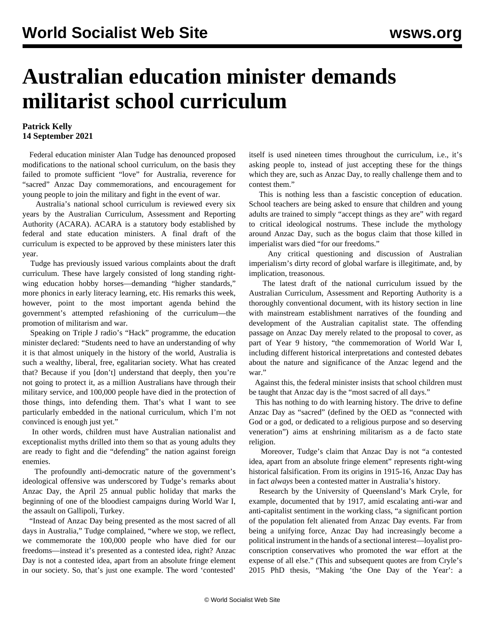## **Australian education minister demands militarist school curriculum**

## **Patrick Kelly 14 September 2021**

 Federal education minister Alan Tudge has denounced proposed modifications to the national school curriculum, on the basis they failed to promote sufficient "love" for Australia, reverence for "sacred" Anzac Day commemorations, and encouragement for young people to join the military and fight in the event of war.

 Australia's national school curriculum is reviewed every six years by the Australian Curriculum, Assessment and Reporting Authority [\(ACARA](file:///C:/Users/Rosemary/AppData/Local/Temp/_blank)). ACARA is a statutory body established by federal and state education ministers. A final draft of the curriculum is expected to be approved by these ministers later this year.

 Tudge has previously issued various complaints about the draft curriculum. These have largely consisted of long standing rightwing education hobby horses—demanding "higher standards," more phonics in early literacy learning, etc. His remarks this week, however, point to the most important agenda behind the government's attempted refashioning of the curriculum—the promotion of militarism and war.

 Speaking on Triple J radio's "Hack" programme, the education minister declared: "Students need to have an understanding of why it is that almost uniquely in the history of the world, Australia is such a wealthy, liberal, free, egalitarian society. What has created that? Because if you [don't] understand that deeply, then you're not going to protect it, as a million Australians have through their military service, and 100,000 people have died in the protection of those things, into defending them. That's what I want to see particularly embedded in the national curriculum, which I'm not convinced is enough just yet."

 In other words, children must have Australian nationalist and exceptionalist myths drilled into them so that as young adults they are ready to fight and die "defending" the nation against foreign enemies.

 The profoundly anti-democratic nature of the government's ideological offensive was underscored by Tudge's remarks about Anzac Day, the April 25 annual public holiday that marks the beginning of one of the bloodiest campaigns during World War I, the assault on Gallipoli, Turkey.

 "Instead of Anzac Day being presented as the most sacred of all days in Australia," Tudge complained, "where we stop, we reflect, we commemorate the 100,000 people who have died for our freedoms—instead it's presented as a contested idea, right? Anzac Day is not a contested idea, apart from an absolute fringe element in our society. So, that's just one example. The word 'contested'

itself is used nineteen times throughout the curriculum, i.e., it's asking people to, instead of just accepting these for the things which they are, such as Anzac Day, to really challenge them and to contest them."

 This is nothing less than a fascistic conception of education. School teachers are being asked to ensure that children and young adults are trained to simply "accept things as they are" with regard to critical ideological nostrums. These include the mythology around Anzac Day, such as the bogus claim that those killed in imperialist wars died "for our freedoms."

 Any critical questioning and discussion of Australian imperialism's dirty record of global warfare is illegitimate, and, by implication, treasonous.

 The latest draft of the national curriculum issued by the Australian Curriculum, Assessment and Reporting Authority is a thoroughly conventional document, with its history section in line with mainstream establishment narratives of the founding and development of the Australian capitalist state. The offending passage on Anzac Day merely related to the proposal to cover, as part of Year 9 history, "the commemoration of World War I, including different historical interpretations and contested debates about the nature and significance of the Anzac legend and the war."

 Against this, the federal minister insists that school children must be taught that Anzac day is the "most sacred of all days."

 This has nothing to do with learning history. The drive to define Anzac Day as "sacred" (defined by the OED as "connected with God or a god, or dedicated to a religious purpose and so deserving veneration") aims at enshrining militarism as a de facto state religion.

 Moreover, Tudge's claim that Anzac Day is not "a contested idea, apart from an absolute fringe element" represents right-wing historical falsification. From its origins in 1915-16, Anzac Day has in fact *always* been a contested matter in Australia's history.

 Research by the University of Queensland's Mark Cryle, for example, documented that by 1917, amid escalating anti-war and anti-capitalist sentiment in the working class, "a significant portion of the population felt alienated from Anzac Day events. Far from being a unifying force, Anzac Day had increasingly become a political instrument in the hands of a sectional interest—loyalist proconscription conservatives who promoted the war effort at the expense of all else." (This and subsequent quotes are from Cryle's 2015 PhD thesis, "Making 'the One Day of the Year': a